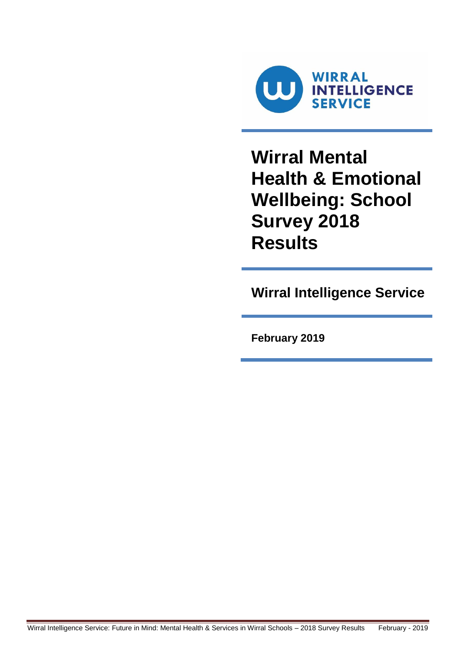

**Wirral Mental Health & Emotional Wellbeing: School Survey 2018 Results**

**Wirral Intelligence Service**

**February 2019**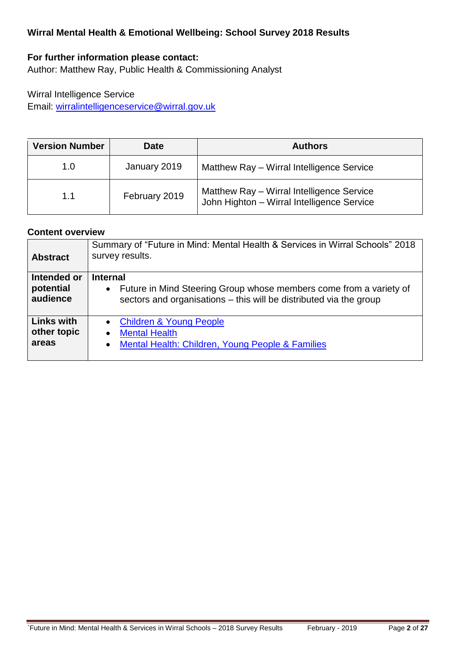### **Wirral Mental Health & Emotional Wellbeing: School Survey 2018 Results**

## **For further information please contact:**

Author: Matthew Ray, Public Health & Commissioning Analyst

### Wirral Intelligence Service Email: [wirralintelligenceservice@wirral.gov.uk](mailto:wirralintelligenceservice@wirral.gov.uk)

| <b>Version Number</b> | <b>Date</b>   | <b>Authors</b>                                                                          |  |  |
|-----------------------|---------------|-----------------------------------------------------------------------------------------|--|--|
| 1.0                   | January 2019  | Matthew Ray - Wirral Intelligence Service                                               |  |  |
| 1.1                   | February 2019 | Matthew Ray - Wirral Intelligence Service<br>John Highton - Wirral Intelligence Service |  |  |

#### **Content overview**

| <b>Abstract</b>                           | Summary of "Future in Mind: Mental Health & Services in Wirral Schools" 2018<br>survey results.                                                               |
|-------------------------------------------|---------------------------------------------------------------------------------------------------------------------------------------------------------------|
| Intended or<br>potential<br>audience      | <b>Internal</b><br>• Future in Mind Steering Group whose members come from a variety of<br>sectors and organisations - this will be distributed via the group |
| <b>Links with</b><br>other topic<br>areas | <b>Children &amp; Young People</b><br>$\bullet$<br><b>Mental Health</b><br>$\bullet$<br>Mental Health: Children, Young People & Families<br>$\bullet$         |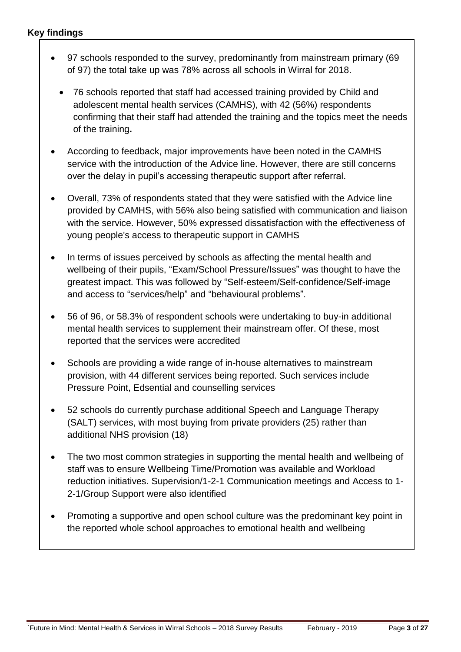- 97 schools responded to the survey, predominantly from mainstream primary (69 of 97) the total take up was 78% across all schools in Wirral for 2018.
	- 76 schools reported that staff had accessed training provided by Child and adolescent mental health services (CAMHS), with 42 (56%) respondents confirming that their staff had attended the training and the topics meet the needs of the training**.**
- According to feedback, major improvements have been noted in the CAMHS service with the introduction of the Advice line. However, there are still concerns over the delay in pupil's accessing therapeutic support after referral.
- Overall, 73% of respondents stated that they were satisfied with the Advice line provided by CAMHS, with 56% also being satisfied with communication and liaison with the service. However, 50% expressed dissatisfaction with the effectiveness of young people's access to therapeutic support in CAMHS
- In terms of issues perceived by schools as affecting the mental health and wellbeing of their pupils, "Exam/School Pressure/Issues" was thought to have the greatest impact. This was followed by "Self-esteem/Self-confidence/Self-image and access to "services/help" and "behavioural problems".
- 56 of 96, or 58.3% of respondent schools were undertaking to buy-in additional mental health services to supplement their mainstream offer. Of these, most reported that the services were accredited
- Schools are providing a wide range of in-house alternatives to mainstream provision, with 44 different services being reported. Such services include Pressure Point, Edsential and counselling services
- 52 schools do currently purchase additional Speech and Language Therapy (SALT) services, with most buying from private providers (25) rather than additional NHS provision (18)
- The two most common strategies in supporting the mental health and wellbeing of staff was to ensure Wellbeing Time/Promotion was available and Workload reduction initiatives. Supervision/1-2-1 Communication meetings and Access to 1- 2-1/Group Support were also identified
- Promoting a supportive and open school culture was the predominant key point in the reported whole school approaches to emotional health and wellbeing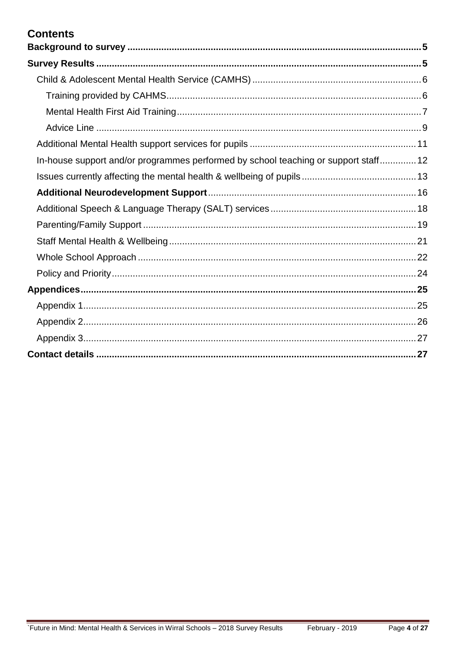# **Contents**

| In-house support and/or programmes performed by school teaching or support staff 12 |  |
|-------------------------------------------------------------------------------------|--|
|                                                                                     |  |
|                                                                                     |  |
|                                                                                     |  |
|                                                                                     |  |
|                                                                                     |  |
|                                                                                     |  |
|                                                                                     |  |
|                                                                                     |  |
|                                                                                     |  |
|                                                                                     |  |
|                                                                                     |  |
|                                                                                     |  |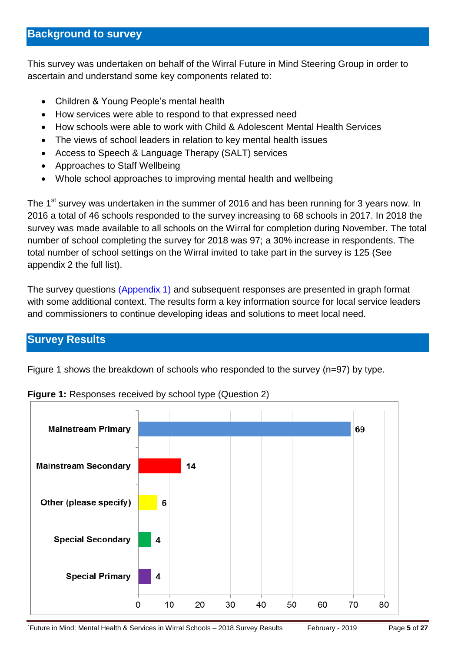<span id="page-4-0"></span>This survey was undertaken on behalf of the Wirral Future in Mind Steering Group in order to ascertain and understand some key components related to:

- Children & Young People's mental health
- How services were able to respond to that expressed need
- How schools were able to work with Child & Adolescent Mental Health Services
- The views of school leaders in relation to key mental health issues
- Access to Speech & Language Therapy (SALT) services
- Approaches to Staff Wellbeing
- Whole school approaches to improving mental health and wellbeing

The 1<sup>st</sup> survey was undertaken in the summer of 2016 and has been running for 3 years now. In 2016 a total of 46 schools responded to the survey increasing to 68 schools in 2017. In 2018 the survey was made available to all schools on the Wirral for completion during November. The total number of school completing the survey for 2018 was 97; a 30% increase in respondents. The total number of school settings on the Wirral invited to take part in the survey is 125 (See appendix 2 the full list).

The survey questions [\(Appendix 1\)](#page-24-1) and subsequent responses are presented in graph format with some additional context. The results form a key information source for local service leaders and commissioners to continue developing ideas and solutions to meet local need.

## <span id="page-4-1"></span>**Survey Results**

Figure 1 shows the breakdown of schools who responded to the survey (n=97) by type.



**Figure 1:** Responses received by school type (Question 2)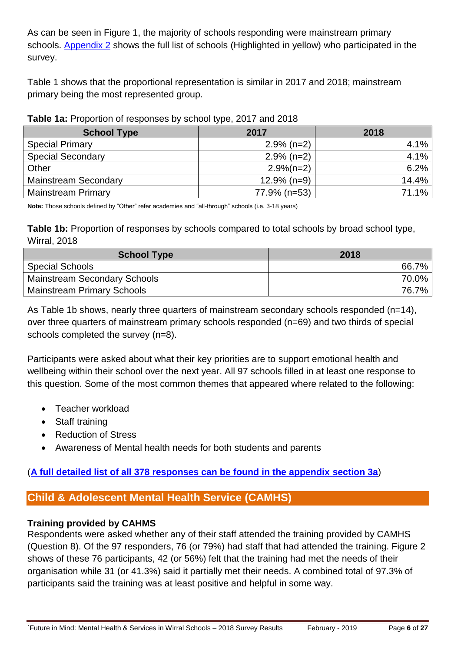As can be seen in Figure 1, the majority of schools responding were mainstream primary schools. [Appendix 2](#page-25-0) shows the full list of schools (Highlighted in yellow) who participated in the survey.

Table 1 shows that the proportional representation is similar in 2017 and 2018; mainstream primary being the most represented group.

|  | Table 1a: Proportion of responses by school type, 2017 and 2018 |  |  |  |
|--|-----------------------------------------------------------------|--|--|--|
|--|-----------------------------------------------------------------|--|--|--|

| <b>School Type</b>          | 2017           | 2018    |  |
|-----------------------------|----------------|---------|--|
| <b>Special Primary</b>      | $2.9\%$ (n=2)  | $4.1\%$ |  |
| <b>Special Secondary</b>    | $2.9\%$ (n=2)  | 4.1%    |  |
| Other                       | $2.9\%(n=2)$   | 6.2%    |  |
| <b>Mainstream Secondary</b> | $12.9\%$ (n=9) | 14.4%   |  |
| <b>Mainstream Primary</b>   | 77.9% (n=53)   | 71.1%   |  |

**Note:** Those schools defined by "Other" refer academies and "all-through" schools (i.e. 3-18 years)

**Table 1b:** Proportion of responses by schools compared to total schools by broad school type, Wirral, 2018

| <b>School Type</b>                  | 2018  |
|-------------------------------------|-------|
| <b>Special Schools</b>              | 66.7% |
| <b>Mainstream Secondary Schools</b> | 70.0% |
| <b>Mainstream Primary Schools</b>   | 76.7% |

As Table 1b shows, nearly three quarters of mainstream secondary schools responded (n=14), over three quarters of mainstream primary schools responded (n=69) and two thirds of special schools completed the survey (n=8).

Participants were asked about what their key priorities are to support emotional health and wellbeing within their school over the next year. All 97 schools filled in at least one response to this question. Some of the most common themes that appeared where related to the following:

- Teacher workload
- Staff training
- Reduction of Stress
- Awareness of Mental health needs for both students and parents

## (**[A full detailed list of all 378 responses can be found in the appendix](#page-26-0) section 3a**)

## <span id="page-5-0"></span>**Child & Adolescent Mental Health Service (CAMHS)**

### <span id="page-5-1"></span>**Training provided by CAHMS**

Respondents were asked whether any of their staff attended the training provided by CAMHS (Question 8). Of the 97 responders, 76 (or 79%) had staff that had attended the training. Figure 2 shows of these 76 participants, 42 (or 56%) felt that the training had met the needs of their organisation while 31 (or 41.3%) said it partially met their needs. A combined total of 97.3% of participants said the training was at least positive and helpful in some way.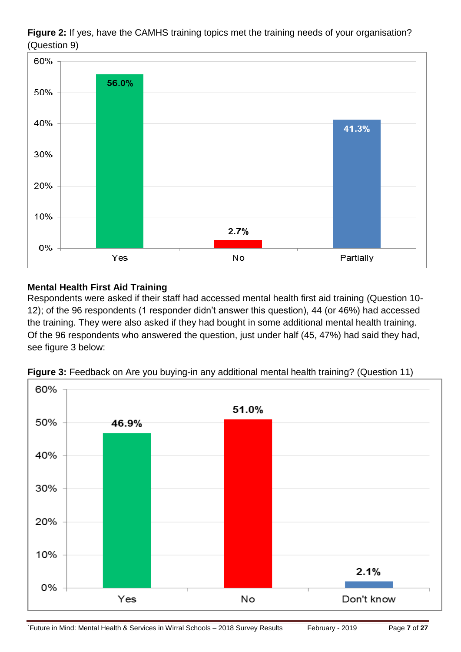**Figure 2:** If yes, have the CAMHS training topics met the training needs of your organisation? (Question 9)



## <span id="page-6-0"></span>**Mental Health First Aid Training**

Respondents were asked if their staff had accessed mental health first aid training (Question 10- 12); of the 96 respondents (1 responder didn't answer this question), 44 (or 46%) had accessed the training. They were also asked if they had bought in some additional mental health training. Of the 96 respondents who answered the question, just under half (45, 47%) had said they had, see figure 3 below:



**Figure 3:** Feedback on Are you buying-in any additional mental health training? (Question 11)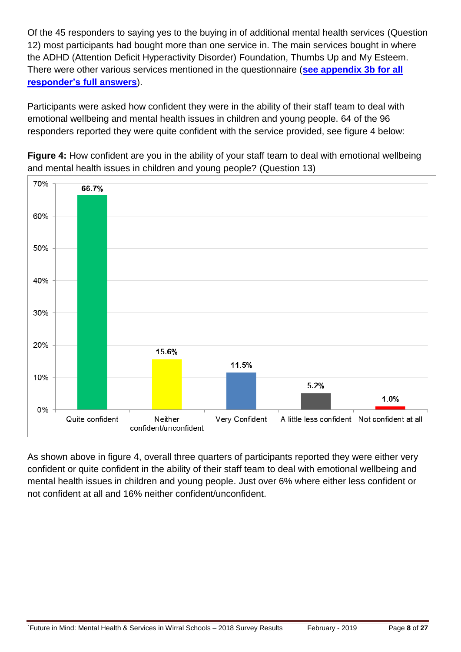Of the 45 responders to saying yes to the buying in of additional mental health services (Question 12) most participants had bought more than one service in. The main services bought in where the ADHD (Attention Deficit Hyperactivity Disorder) Foundation, Thumbs Up and My Esteem. There were other various services mentioned in the questionnaire (**[see appendix 3b for all](#page-26-0)  responder's [full answers](#page-26-0)**).

Participants were asked how confident they were in the ability of their staff team to deal with emotional wellbeing and mental health issues in children and young people. 64 of the 96 responders reported they were quite confident with the service provided, see figure 4 below:



**Figure 4:** How confident are you in the ability of your staff team to deal with emotional wellbeing and mental health issues in children and young people? (Question 13)

As shown above in figure 4, overall three quarters of participants reported they were either very confident or quite confident in the ability of their staff team to deal with emotional wellbeing and mental health issues in children and young people. Just over 6% where either less confident or not confident at all and 16% neither confident/unconfident.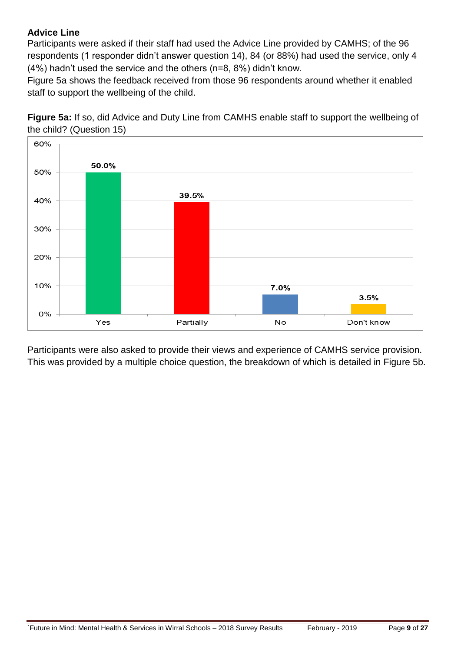### <span id="page-8-0"></span>**Advice Line**

Participants were asked if their staff had used the Advice Line provided by CAMHS; of the 96 respondents (1 responder didn't answer question 14), 84 (or 88%) had used the service, only 4 (4%) hadn't used the service and the others (n=8, 8%) didn't know.

Figure 5a shows the feedback received from those 96 respondents around whether it enabled staff to support the wellbeing of the child.

**Figure 5a:** If so, did Advice and Duty Line from CAMHS enable staff to support the wellbeing of the child? (Question 15)

![](_page_8_Figure_4.jpeg)

Participants were also asked to provide their views and experience of CAMHS service provision. This was provided by a multiple choice question, the breakdown of which is detailed in Figure 5b.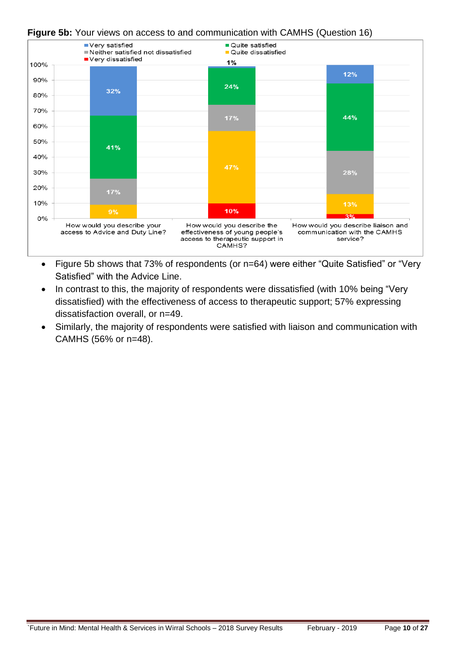#### **Figure 5b:** Your views on access to and communication with CAMHS (Question 16)

![](_page_9_Figure_1.jpeg)

- Figure 5b shows that 73% of respondents (or n=64) were either "Quite Satisfied" or "Very Satisfied" with the Advice Line.
- In contrast to this, the majority of respondents were dissatisfied (with 10% being "Very dissatisfied) with the effectiveness of access to therapeutic support; 57% expressing dissatisfaction overall, or n=49.
- Similarly, the majority of respondents were satisfied with liaison and communication with CAMHS (56% or n=48).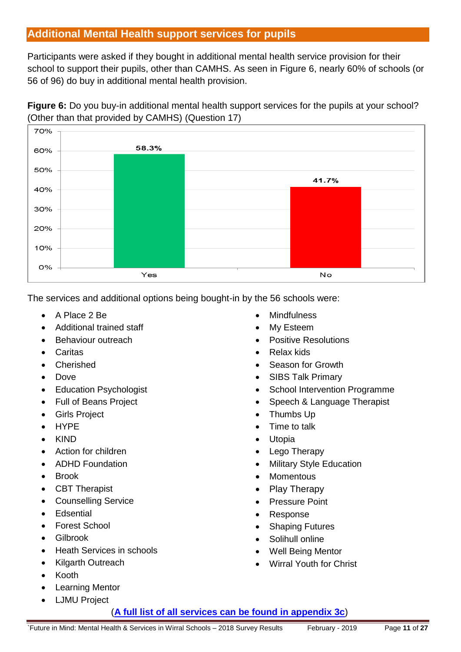# <span id="page-10-0"></span>**Additional Mental Health support services for pupils**

Participants were asked if they bought in additional mental health service provision for their school to support their pupils, other than CAMHS. As seen in Figure 6, nearly 60% of schools (or 56 of 96) do buy in additional mental health provision.

![](_page_10_Figure_2.jpeg)

![](_page_10_Figure_3.jpeg)

The services and additional options being bought-in by the 56 schools were:

- A Place 2 Be
- Additional trained staff
- Behaviour outreach
- **Caritas**
- Cherished
- Dove
- Education Psychologist
- Full of Beans Project
- Girls Project
- HYPE
- KIND
- Action for children
- ADHD Foundation
- Brook
- CBT Therapist
- Counselling Service
- Edsential
- Forest School
- Gilbrook
- Heath Services in schools
- Kilgarth Outreach
- Kooth
- Learning Mentor
- LJMU Project
- **Mindfulness**
- My Esteem
- Positive Resolutions
- Relax kids
- Season for Growth
- SIBS Talk Primary
- School Intervention Programme
- Speech & Language Therapist
- Thumbs Up
- Time to talk
- Utopia
- Lego Therapy
- Military Style Education
- Momentous
- Play Therapy
- Pressure Point
- Response
- Shaping Futures
- Solihull online
- Well Being Mentor
- Wirral Youth for Christ

(**[A full list of all services can be found in appendix 3c](#page-26-0)**)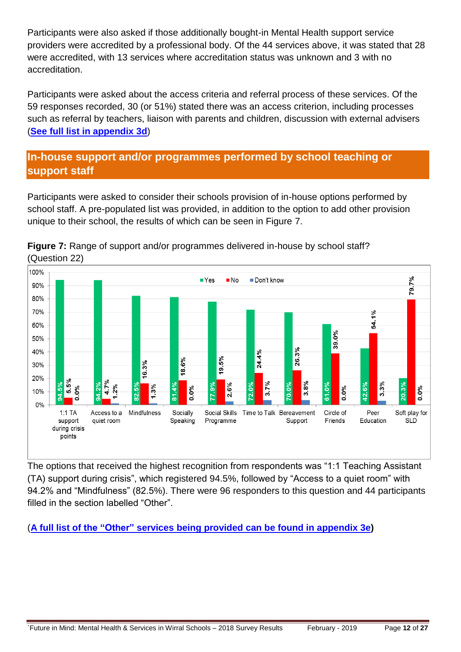Participants were also asked if those additionally bought-in Mental Health support service providers were accredited by a professional body. Of the 44 services above, it was stated that 28 were accredited, with 13 services where accreditation status was unknown and 3 with no accreditation.

Participants were asked about the access criteria and referral process of these services. Of the 59 responses recorded, 30 (or 51%) stated there was an access criterion, including processes such as referral by teachers, liaison with parents and children, discussion with external advisers (**[See full list in appendix](#page-26-0) 3d**)

# <span id="page-11-0"></span>**In-house support and/or programmes performed by school teaching or support staff**

Participants were asked to consider their schools provision of in-house options performed by school staff. A pre-populated list was provided, in addition to the option to add other provision unique to their school, the results of which can be seen in Figure 7.

![](_page_11_Figure_4.jpeg)

**Figure 7:** Range of support and/or programmes delivered in-house by school staff? (Question 22)

The options that received the highest recognition from respondents was "1:1 Teaching Assistant (TA) support during crisis", which registered 94.5%, followed by "Access to a quiet room" with 94.2% and "Mindfulness" (82.5%). There were 96 responders to this question and 44 participants filled in the section labelled "Other".

(**[A full list of the "Other" services being provided can be found in appendix](#page-26-0) 3e)**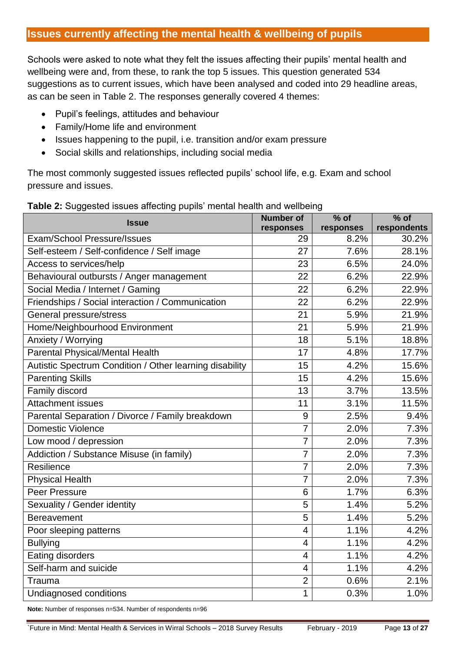## <span id="page-12-0"></span>**Issues currently affecting the mental health & wellbeing of pupils**

Schools were asked to note what they felt the issues affecting their pupils' mental health and wellbeing were and, from these, to rank the top 5 issues. This question generated 534 suggestions as to current issues, which have been analysed and coded into 29 headline areas, as can be seen in Table 2. The responses generally covered 4 themes:

- Pupil's feelings, attitudes and behaviour
- Family/Home life and environment
- Issues happening to the pupil, i.e. transition and/or exam pressure
- Social skills and relationships, including social media

The most commonly suggested issues reflected pupils' school life, e.g. Exam and school pressure and issues.

| n ouggooloa loodoo allooling paplio miontal hoditi      | <b>Number of</b> | $%$ of    | $%$ of      |
|---------------------------------------------------------|------------------|-----------|-------------|
| <b>Issue</b>                                            | responses        | responses | respondents |
| <b>Exam/School Pressure/Issues</b>                      | 29               | 8.2%      | 30.2%       |
| Self-esteem / Self-confidence / Self image              | 27               | 7.6%      | 28.1%       |
| Access to services/help                                 | 23               | 6.5%      | 24.0%       |
| Behavioural outbursts / Anger management                | 22               | 6.2%      | 22.9%       |
| Social Media / Internet / Gaming                        | 22               | 6.2%      | 22.9%       |
| Friendships / Social interaction / Communication        | 22               | 6.2%      | 22.9%       |
| General pressure/stress                                 | 21               | 5.9%      | 21.9%       |
| Home/Neighbourhood Environment                          | 21               | 5.9%      | 21.9%       |
| Anxiety / Worrying                                      | 18               | 5.1%      | 18.8%       |
| Parental Physical/Mental Health                         | 17               | 4.8%      | 17.7%       |
| Autistic Spectrum Condition / Other learning disability | 15               | 4.2%      | 15.6%       |
| <b>Parenting Skills</b>                                 | 15               | 4.2%      | 15.6%       |
| Family discord                                          | $\overline{13}$  | 3.7%      | 13.5%       |
| <b>Attachment issues</b>                                | 11               | 3.1%      | 11.5%       |
| Parental Separation / Divorce / Family breakdown        | 9                | 2.5%      | 9.4%        |
| Domestic Violence                                       | $\overline{7}$   | 2.0%      | 7.3%        |
| Low mood / depression                                   | $\overline{7}$   | 2.0%      | 7.3%        |
| Addiction / Substance Misuse (in family)                | $\overline{7}$   | 2.0%      | 7.3%        |
| Resilience                                              | 7                | 2.0%      | 7.3%        |
| <b>Physical Health</b>                                  | 7                | 2.0%      | 7.3%        |
| Peer Pressure                                           | 6                | 1.7%      | 6.3%        |
| Sexuality / Gender identity                             | 5                | 1.4%      | 5.2%        |
| <b>Bereavement</b>                                      | 5                | 1.4%      | 5.2%        |
| Poor sleeping patterns                                  | 4                | 1.1%      | 4.2%        |
| <b>Bullying</b>                                         | 4                | 1.1%      | 4.2%        |
| Eating disorders                                        | 4                | 1.1%      | 4.2%        |
| Self-harm and suicide                                   | 4                | 1.1%      | 4.2%        |
| Trauma                                                  | $\overline{2}$   | 0.6%      | 2.1%        |
| Undiagnosed conditions                                  | 1                | 0.3%      | 1.0%        |

### **Table 2:** Suggested issues affecting pupils' mental health and wellbeing

**Note:** Number of responses n=534. Number of respondents n=96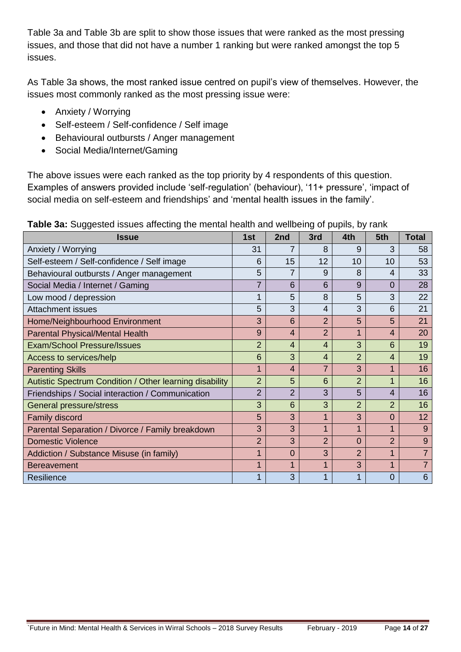Table 3a and Table 3b are split to show those issues that were ranked as the most pressing issues, and those that did not have a number 1 ranking but were ranked amongst the top 5 issues.

As Table 3a shows, the most ranked issue centred on pupil's view of themselves. However, the issues most commonly ranked as the most pressing issue were:

- Anxiety / Worrying
- Self-esteem / Self-confidence / Self image
- Behavioural outbursts / Anger management
- Social Media/Internet/Gaming

The above issues were each ranked as the top priority by 4 respondents of this question. Examples of answers provided include 'self-regulation' (behaviour), '11+ pressure', 'impact of social media on self-esteem and friendships' and 'mental health issues in the family'.

| <b>Issue</b>                                            | 1st            | 2nd            | 3rd            | 4th            | 5th            | <b>Total</b>   |
|---------------------------------------------------------|----------------|----------------|----------------|----------------|----------------|----------------|
| Anxiety / Worrying                                      | 31             |                | 8              | 9              | 3              | 58             |
| Self-esteem / Self-confidence / Self image              | 6              | 15             | 12             | 10             | 10             | 53             |
| Behavioural outbursts / Anger management                | 5              |                | 9              | 8              | 4              | 33             |
| Social Media / Internet / Gaming                        |                | 6              | 6              | 9              | $\Omega$       | 28             |
| Low mood / depression                                   |                | 5              | 8              | 5              | 3              | 22             |
| <b>Attachment issues</b>                                | 5              | 3              | 4              | 3              | 6              | 21             |
| Home/Neighbourhood Environment                          | 3              | 6              | $\overline{2}$ | 5              | 5              | 21             |
| <b>Parental Physical/Mental Health</b>                  | 9              | $\overline{4}$ | $\overline{2}$ |                | 4              | 20             |
| <b>Exam/School Pressure/Issues</b>                      | $\overline{2}$ | 4              | 4              | 3              | 6              | 19             |
| Access to services/help                                 | 6              | 3              | 4              | $\overline{2}$ | 4              | 19             |
| <b>Parenting Skills</b>                                 |                | 4              | 7              | 3              | 1              | 16             |
| Autistic Spectrum Condition / Other learning disability | $\overline{2}$ | 5              | 6              | $\overline{2}$ | 1              | 16             |
| Friendships / Social interaction / Communication        | $\overline{2}$ | $\overline{2}$ | 3              | 5              | 4              | 16             |
| General pressure/stress                                 | 3              | 6              | 3              | $\overline{2}$ | $\overline{2}$ | 16             |
| Family discord                                          | 5              | 3              | 1              | 3              | $\Omega$       | 12             |
| Parental Separation / Divorce / Family breakdown        | 3              | 3              | 1              |                | 1              | 9              |
| <b>Domestic Violence</b>                                | $\overline{2}$ | 3              | $\overline{2}$ | 0              | $\overline{2}$ | 9              |
| Addiction / Substance Misuse (in family)                |                | 0              | 3              | $\overline{2}$ | 1              | $\overline{7}$ |
| <b>Bereavement</b>                                      |                | 1              | 1              | 3              | 1              | $\overline{7}$ |
| Resilience                                              |                | 3              |                |                | 0              | 6              |

**Table 3a:** Suggested issues affecting the mental health and wellbeing of pupils, by rank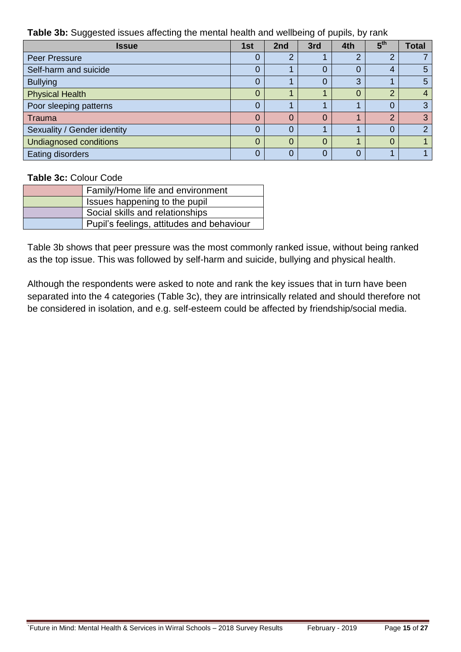**Table 3b:** Suggested issues affecting the mental health and wellbeing of pupils, by rank

| <b>Issue</b>                  | 1st      | 2nd | 3rd | 4th      | 5 <sup>th</sup> | <b>Total</b>   |
|-------------------------------|----------|-----|-----|----------|-----------------|----------------|
| <b>Peer Pressure</b>          | $\Omega$ | ⌒   |     | ⌒        | 2               |                |
| Self-harm and suicide         | 0        |     |     | 0        | 4               | 5              |
| <b>Bullying</b>               | 0        |     |     | 3        |                 | 5              |
| <b>Physical Health</b>        | 0        |     |     | $\Omega$ | 2               | 4              |
| Poor sleeping patterns        | $\Omega$ |     |     |          | 0               | 3              |
| Trauma                        | 0        |     |     |          | $\Omega$        | 3              |
| Sexuality / Gender identity   | $\Omega$ |     |     |          | 0               | $\overline{2}$ |
| <b>Undiagnosed conditions</b> | $\Omega$ | U   | 0   |          | 0               |                |
| <b>Eating disorders</b>       |          |     |     | 0        |                 |                |

### **Table 3c:** Colour Code

| Family/Home life and environment          |
|-------------------------------------------|
| Issues happening to the pupil             |
| Social skills and relationships           |
| Pupil's feelings, attitudes and behaviour |

Table 3b shows that peer pressure was the most commonly ranked issue, without being ranked as the top issue. This was followed by self-harm and suicide, bullying and physical health.

Although the respondents were asked to note and rank the key issues that in turn have been separated into the 4 categories (Table 3c), they are intrinsically related and should therefore not be considered in isolation, and e.g. self-esteem could be affected by friendship/social media.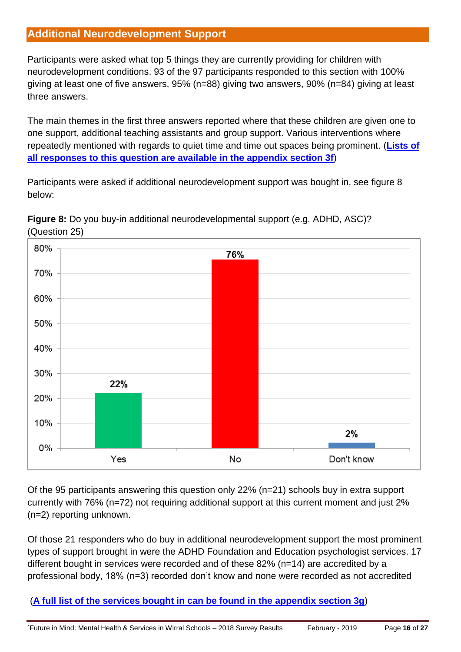# <span id="page-15-0"></span>**Additional Neurodevelopment Support**

Participants were asked what top 5 things they are currently providing for children with neurodevelopment conditions. 93 of the 97 participants responded to this section with 100% giving at least one of five answers, 95% (n=88) giving two answers, 90% (n=84) giving at least three answers.

The main themes in the first three answers reported where that these children are given one to one support, additional teaching assistants and group support. Various interventions where repeatedly mentioned with regards to quiet time and time out spaces being prominent. (**[Lists of](#page-26-0)  all responses to this question are [available in the appendix section 3f](#page-26-0)**)

Participants were asked if additional neurodevelopment support was bought in, see figure 8 below:

![](_page_15_Figure_4.jpeg)

**Figure 8:** Do you buy-in additional neurodevelopmental support (e.g. ADHD, ASC)? (Question 25)

Of the 95 participants answering this question only 22% (n=21) schools buy in extra support currently with 76% (n=72) not requiring additional support at this current moment and just 2% (n=2) reporting unknown.

Of those 21 responders who do buy in additional neurodevelopment support the most prominent types of support brought in were the ADHD Foundation and Education psychologist services. 17 different bought in services were recorded and of these 82% (n=14) are accredited by a professional body, 18% (n=3) recorded don't know and none were recorded as not accredited

(**[A full list of the services bought in can be found in the appendix](#page-26-0) section 3g**)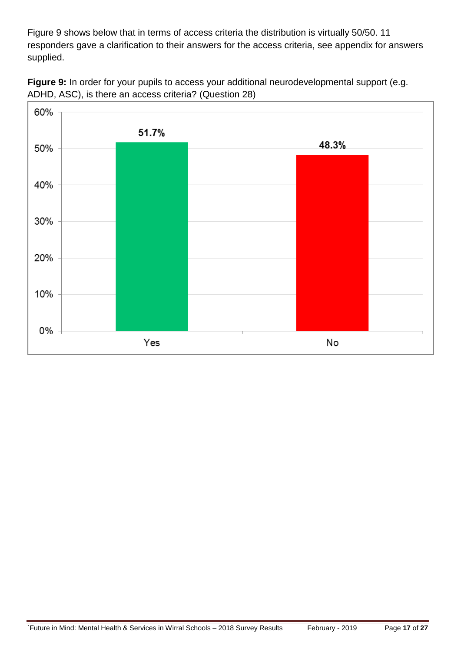Figure 9 shows below that in terms of access criteria the distribution is virtually 50/50. 11 responders gave a clarification to their answers for the access criteria, see appendix for answers supplied.

![](_page_16_Figure_1.jpeg)

![](_page_16_Figure_2.jpeg)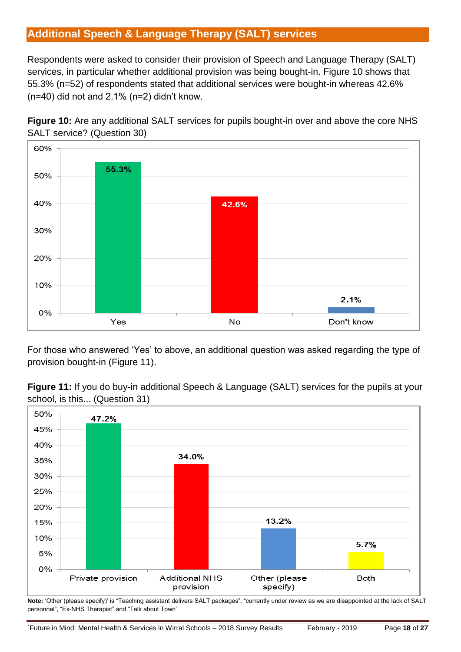# <span id="page-17-0"></span>**Additional Speech & Language Therapy (SALT) services**

Respondents were asked to consider their provision of Speech and Language Therapy (SALT) services, in particular whether additional provision was being bought-in. Figure 10 shows that 55.3% (n=52) of respondents stated that additional services were bought-in whereas 42.6% (n=40) did not and 2.1% (n=2) didn't know.

![](_page_17_Figure_2.jpeg)

![](_page_17_Figure_3.jpeg)

For those who answered 'Yes' to above, an additional question was asked regarding the type of provision bought-in (Figure 11).

![](_page_17_Figure_5.jpeg)

![](_page_17_Figure_6.jpeg)

**Note:** 'Other (please specify)' is "Teaching assistant delivers SALT packages", "currently under review as we are disappointed at the lack of SALT personnel", "Ex-NHS Therapist" and "Talk about Town"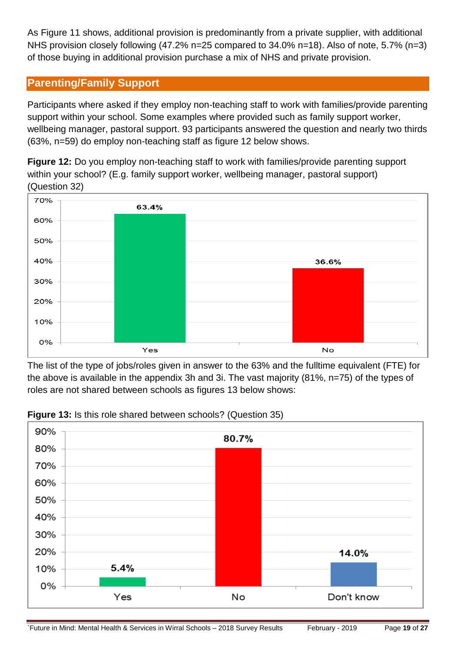As Figure 11 shows, additional provision is predominantly from a private supplier, with additional NHS provision closely following (47.2% n=25 compared to 34.0% n=18). Also of note, 5.7% (n=3) of those buying in additional provision purchase a mix of NHS and private provision.

## <span id="page-18-0"></span>**Parenting/Family Support**

Participants where asked if they employ non-teaching staff to work with families/provide parenting support within your school. Some examples where provided such as family support worker, wellbeing manager, pastoral support. 93 participants answered the question and nearly two thirds (63%, n=59) do employ non-teaching staff as figure 12 below shows.

**Figure 12:** Do you employ non-teaching staff to work with families/provide parenting support within your school? (E.g. family support worker, wellbeing manager, pastoral support) (Question 32)

![](_page_18_Figure_4.jpeg)

The list of the type of jobs/roles given in answer to the 63% and the fulltime equivalent (FTE) for the above is available in the appendix 3h and 3i. The vast majority (81%, n=75) of the types of roles are not shared between schools as figures 13 below shows:

![](_page_18_Figure_6.jpeg)

### **Figure 13:** Is this role shared between schools? (Question 35)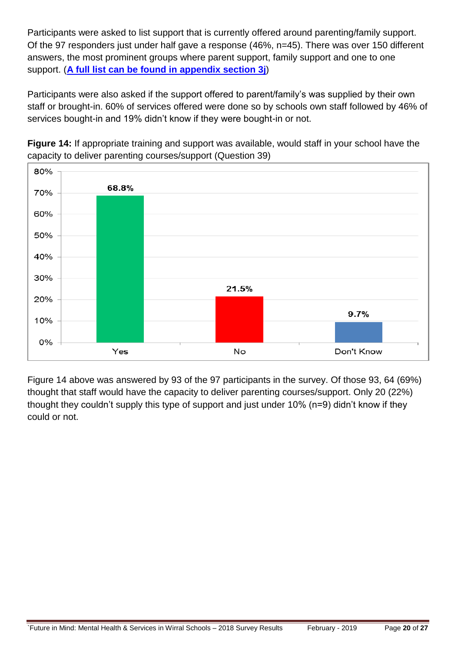Participants were asked to list support that is currently offered around parenting/family support. Of the 97 responders just under half gave a response (46%, n=45). There was over 150 different answers, the most prominent groups where parent support, family support and one to one support. (**[A full list can be found in appendix section 3j](#page-26-0)**)

Participants were also asked if the support offered to parent/family's was supplied by their own staff or brought-in. 60% of services offered were done so by schools own staff followed by 46% of services bought-in and 19% didn't know if they were bought-in or not.

![](_page_19_Figure_2.jpeg)

**Figure 14:** If appropriate training and support was available, would staff in your school have the capacity to deliver parenting courses/support (Question 39)

Figure 14 above was answered by 93 of the 97 participants in the survey. Of those 93, 64 (69%) thought that staff would have the capacity to deliver parenting courses/support. Only 20 (22%) thought they couldn't supply this type of support and just under 10% (n=9) didn't know if they could or not.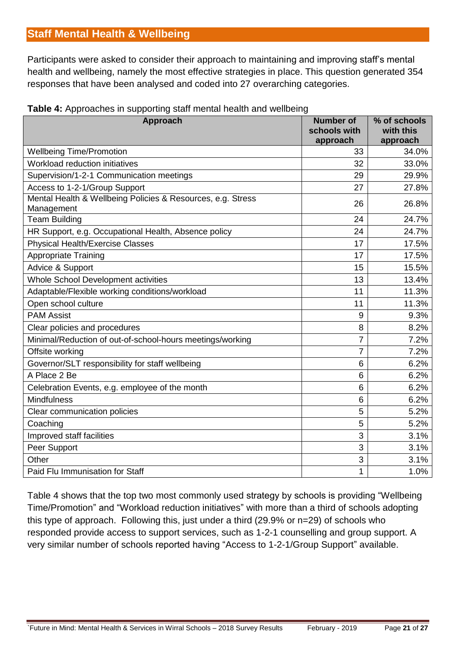# <span id="page-20-0"></span>**Staff Mental Health & Wellbeing**

Participants were asked to consider their approach to maintaining and improving staff's mental health and wellbeing, namely the most effective strategies in place. This question generated 354 responses that have been analysed and coded into 27 overarching categories.

| Approach                                                                  | <b>Number of</b><br>schools with<br>approach | % of schools<br>with this<br>approach |
|---------------------------------------------------------------------------|----------------------------------------------|---------------------------------------|
| <b>Wellbeing Time/Promotion</b>                                           | 33                                           | 34.0%                                 |
| Workload reduction initiatives                                            | 32                                           | 33.0%                                 |
| Supervision/1-2-1 Communication meetings                                  | 29                                           | 29.9%                                 |
| Access to 1-2-1/Group Support                                             | 27                                           | 27.8%                                 |
| Mental Health & Wellbeing Policies & Resources, e.g. Stress<br>Management | 26                                           | 26.8%                                 |
| <b>Team Building</b>                                                      | 24                                           | 24.7%                                 |
| HR Support, e.g. Occupational Health, Absence policy                      | 24                                           | 24.7%                                 |
| <b>Physical Health/Exercise Classes</b>                                   | 17                                           | 17.5%                                 |
| <b>Appropriate Training</b>                                               | 17                                           | 17.5%                                 |
| Advice & Support                                                          | 15                                           | 15.5%                                 |
| Whole School Development activities                                       | 13                                           | 13.4%                                 |
| Adaptable/Flexible working conditions/workload                            | 11                                           | 11.3%                                 |
| Open school culture                                                       | 11                                           | 11.3%                                 |
| <b>PAM Assist</b>                                                         | 9                                            | 9.3%                                  |
| Clear policies and procedures                                             | 8                                            | 8.2%                                  |
| Minimal/Reduction of out-of-school-hours meetings/working                 | $\overline{7}$                               | 7.2%                                  |
| Offsite working                                                           | $\overline{7}$                               | 7.2%                                  |
| Governor/SLT responsibility for staff wellbeing                           | $6\phantom{1}6$                              | 6.2%                                  |
| A Place 2 Be                                                              | $6\phantom{1}6$                              | 6.2%                                  |
| Celebration Events, e.g. employee of the month                            | 6                                            | 6.2%                                  |
| <b>Mindfulness</b>                                                        | 6                                            | 6.2%                                  |
| Clear communication policies                                              | 5                                            | 5.2%                                  |
| Coaching                                                                  | 5                                            | 5.2%                                  |
| Improved staff facilities                                                 | 3                                            | 3.1%                                  |
| Peer Support                                                              | 3                                            | 3.1%                                  |
| Other                                                                     | 3                                            | 3.1%                                  |
| Paid Flu Immunisation for Staff                                           | 1                                            | 1.0%                                  |

### **Table 4:** Approaches in supporting staff mental health and wellbeing

Table 4 shows that the top two most commonly used strategy by schools is providing "Wellbeing Time/Promotion" and "Workload reduction initiatives" with more than a third of schools adopting this type of approach. Following this, just under a third (29.9% or n=29) of schools who responded provide access to support services, such as 1-2-1 counselling and group support. A very similar number of schools reported having "Access to 1-2-1/Group Support" available.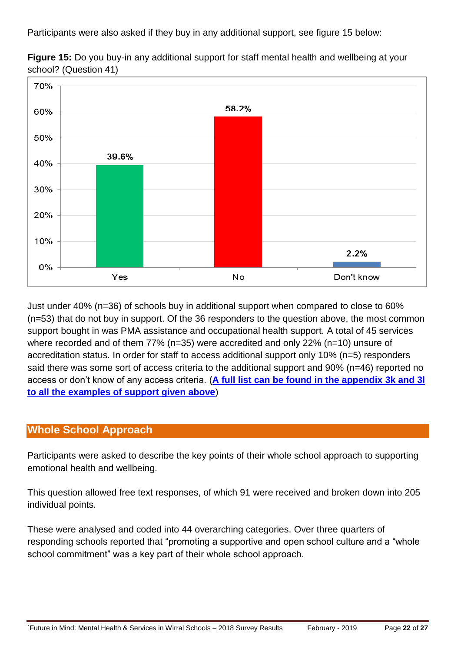Participants were also asked if they buy in any additional support, see figure 15 below:

![](_page_21_Figure_1.jpeg)

**Figure 15:** Do you buy-in any additional support for staff mental health and wellbeing at your school? (Question 41)

Just under 40% (n=36) of schools buy in additional support when compared to close to 60% (n=53) that do not buy in support. Of the 36 responders to the question above, the most common support bought in was PMA assistance and occupational health support. A total of 45 services where recorded and of them 77% (n=35) were accredited and only 22% (n=10) unsure of accreditation status. In order for staff to access additional support only 10% (n=5) responders said there was some sort of access criteria to the additional support and 90% (n=46) reported no access or don't know of any access criteria. (**[A full list can be found in the appendix 3k and 3l](#page-26-0)  [to all the examples of support given](#page-26-0) above**)

# <span id="page-21-0"></span>**Whole School Approach**

Participants were asked to describe the key points of their whole school approach to supporting emotional health and wellbeing.

This question allowed free text responses, of which 91 were received and broken down into 205 individual points.

These were analysed and coded into 44 overarching categories. Over three quarters of responding schools reported that "promoting a supportive and open school culture and a "whole school commitment" was a key part of their whole school approach.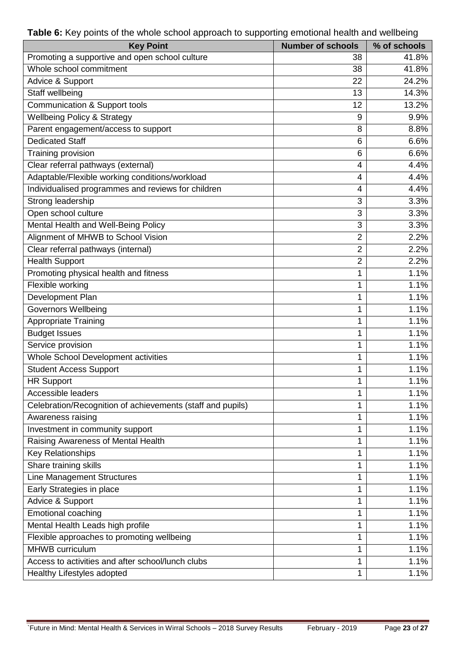| <b>Key Point</b>                                           | <b>Number of schools</b> | % of schools |
|------------------------------------------------------------|--------------------------|--------------|
| Promoting a supportive and open school culture             | 38                       | 41.8%        |
| Whole school commitment                                    | 38                       | 41.8%        |
| Advice & Support                                           | 22                       | 24.2%        |
| Staff wellbeing                                            | 13                       | 14.3%        |
| <b>Communication &amp; Support tools</b>                   | 12                       | 13.2%        |
| <b>Wellbeing Policy &amp; Strategy</b>                     | 9                        | 9.9%         |
| Parent engagement/access to support                        | 8                        | 8.8%         |
| <b>Dedicated Staff</b>                                     | 6                        | 6.6%         |
| Training provision                                         | 6                        | 6.6%         |
| Clear referral pathways (external)                         | 4                        | 4.4%         |
| Adaptable/Flexible working conditions/workload             | $\overline{4}$           | 4.4%         |
| Individualised programmes and reviews for children         | $\overline{4}$           | 4.4%         |
| Strong leadership                                          | 3                        | 3.3%         |
| Open school culture                                        | 3                        | 3.3%         |
| Mental Health and Well-Being Policy                        | 3                        | 3.3%         |
| Alignment of MHWB to School Vision                         | $\overline{2}$           | 2.2%         |
| Clear referral pathways (internal)                         | $\overline{2}$           | 2.2%         |
| <b>Health Support</b>                                      | $\overline{2}$           | 2.2%         |
| Promoting physical health and fitness                      | 1                        | 1.1%         |
| Flexible working                                           | 1                        | 1.1%         |
| Development Plan                                           | 1                        | 1.1%         |
| <b>Governors Wellbeing</b>                                 | 1                        | 1.1%         |
| <b>Appropriate Training</b>                                | 1                        | 1.1%         |
| <b>Budget Issues</b>                                       | 1                        | 1.1%         |
| Service provision                                          | 1                        | 1.1%         |
| Whole School Development activities                        | 1                        | 1.1%         |
| <b>Student Access Support</b>                              | 1                        | 1.1%         |
| <b>HR Support</b>                                          | 1                        | 1.1%         |
| Accessible leaders                                         | 1                        | 1.1%         |
| Celebration/Recognition of achievements (staff and pupils) | 1                        | 1.1%         |
| Awareness raising                                          | 1                        | 1.1%         |
| Investment in community support                            | 1                        | 1.1%         |
| Raising Awareness of Mental Health                         | 1                        | 1.1%         |
| <b>Key Relationships</b>                                   | 1                        | 1.1%         |
| Share training skills                                      | 1                        | 1.1%         |
| <b>Line Management Structures</b>                          | 1                        | 1.1%         |
| Early Strategies in place                                  | 1                        | 1.1%         |
| Advice & Support                                           | 1                        | 1.1%         |
| <b>Emotional coaching</b>                                  | 1                        | 1.1%         |
| Mental Health Leads high profile                           | 1                        | 1.1%         |
| Flexible approaches to promoting wellbeing                 | 1                        | 1.1%         |
| <b>MHWB</b> curriculum                                     | 1                        | 1.1%         |
| Access to activities and after school/lunch clubs          | 1                        | 1.1%         |
| Healthy Lifestyles adopted                                 | 1                        | 1.1%         |

**Table 6:** Key points of the whole school approach to supporting emotional health and wellbeing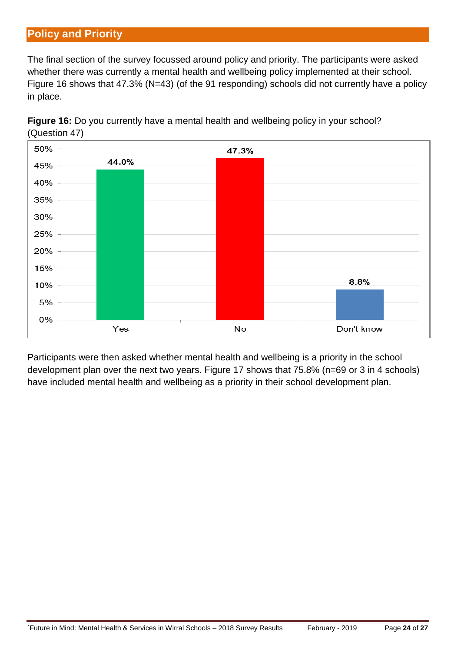# <span id="page-23-0"></span>**Policy and Priority**

The final section of the survey focussed around policy and priority. The participants were asked whether there was currently a mental health and wellbeing policy implemented at their school. Figure 16 shows that 47.3% (N=43) (of the 91 responding) schools did not currently have a policy in place.

![](_page_23_Figure_2.jpeg)

![](_page_23_Figure_3.jpeg)

Participants were then asked whether mental health and wellbeing is a priority in the school development plan over the next two years. Figure 17 shows that 75.8% (n=69 or 3 in 4 schools) have included mental health and wellbeing as a priority in their school development plan.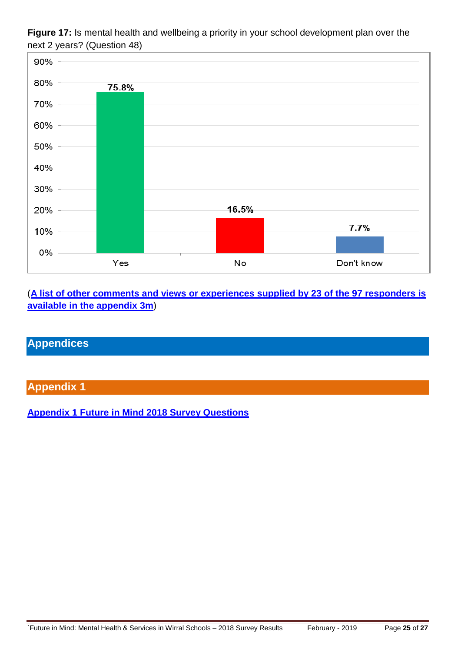![](_page_24_Figure_0.jpeg)

![](_page_24_Figure_1.jpeg)

(**[A list of other comments and views or experiences supplied by 23 of the 97 responders is](#page-26-0)  [available in the appendix](#page-26-0) 3m**)

# <span id="page-24-0"></span>**Appendices**

## <span id="page-24-1"></span>**Appendix 1**

**[Appendix 1 Future in Mind 2018 Survey Questions](https://www.wirralintelligenceservice.org/media/2730/appendix-1-future-in-mind-2018-survey-questions.pdf)**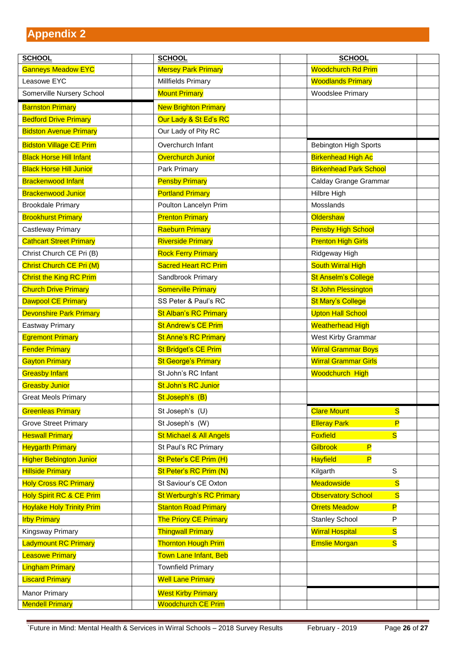<span id="page-25-0"></span>

| <b>SCHOOL</b>                    | <b>SCHOOL</b>                      | <b>SCHOOL</b>                                        |
|----------------------------------|------------------------------------|------------------------------------------------------|
| <b>Ganneys Meadow EYC</b>        | <b>Mersey Park Primary</b>         | <b>Woodchurch Rd Prim</b>                            |
| Leasowe EYC                      | Millfields Primary                 | <b>Woodlands Primary</b>                             |
| Somerville Nursery School        | <b>Mount Primary</b>               | <b>Woodslee Primary</b>                              |
| <b>Barnston Primary</b>          | <b>New Brighton Primary</b>        |                                                      |
| <b>Bedford Drive Primary</b>     | Our Lady & St Ed's RC              |                                                      |
| <b>Bidston Avenue Primary</b>    | Our Lady of Pity RC                |                                                      |
| <b>Bidston Village CE Prim</b>   | Overchurch Infant                  | Bebington High Sports                                |
| <b>Black Horse Hill Infant</b>   | Overchurch Junior                  | <b>Birkenhead High Ac</b>                            |
| <b>Black Horse Hill Junior</b>   | Park Primary                       | <b>Birkenhead Park School</b>                        |
| <b>Brackenwood Infant</b>        | <b>Pensby Primary</b>              | Calday Grange Grammar                                |
| <b>Brackenwood Junior</b>        | <b>Portland Primary</b>            | Hilbre High                                          |
| <b>Brookdale Primary</b>         | Poulton Lancelyn Prim              | Mosslands                                            |
| <b>Brookhurst Primary</b>        | <b>Prenton Primary</b>             | Oldershaw                                            |
| Castleway Primary                | <b>Raeburn Primary</b>             | <b>Pensby High School</b>                            |
| <b>Cathcart Street Primary</b>   | <b>Riverside Primary</b>           | <b>Prenton High Girls</b>                            |
| Christ Church CE Pri (B)         | <b>Rock Ferry Primary</b>          | Ridgeway High                                        |
| Christ Church CE Pri (M)         | <b>Sacred Heart RC Prim</b>        | <b>South Wirral High</b>                             |
| <b>Christ the King RC Prim</b>   | Sandbrook Primary                  | <b>St Anselm's College</b>                           |
| <b>Church Drive Primary</b>      | <b>Somerville Primary</b>          | <b>St John Plessington</b>                           |
| <b>Dawpool CE Primary</b>        | SS Peter & Paul's RC               | <b>St Mary's College</b>                             |
| <b>Devonshire Park Primary</b>   | <b>St Alban's RC Primary</b>       | <b>Upton Hall School</b>                             |
| Eastway Primary                  | <b>St Andrew's CE Prim</b>         | <b>Weatherhead High</b>                              |
| <b>Egremont Primary</b>          | <b>St Anne's RC Primary</b>        | West Kirby Grammar                                   |
| <b>Fender Primary</b>            | <b>St Bridget's CE Prim</b>        | <b>Wirral Grammar Boys</b>                           |
| <b>Gayton Primary</b>            | <b>St George's Primary</b>         | <b>Wirral Grammar Girls</b>                          |
| <b>Greasby Infant</b>            | St John's RC Infant                | <b>Woodchurch High</b>                               |
| <b>Greasby Junior</b>            | St John's RC Junior                |                                                      |
| <b>Great Meols Primary</b>       | St Joseph's (B)                    |                                                      |
| <b>Greenleas Primary</b>         | St Joseph's (U)                    | <b>Clare Mount</b><br>$\overline{\mathbf{s}}$        |
| <b>Grove Street Primary</b>      | St Joseph's (W)                    | $\overline{P}$<br><b>Elleray Park</b>                |
| <b>Heswall Primary</b>           | <b>St Michael &amp; All Angels</b> | $\overline{\mathbf{s}}$<br><b>Foxfield</b>           |
| <b>Heygarth Primary</b>          | St Paul's RC Primary               | Gilbrook<br>$\overline{P}$                           |
| <b>Higher Bebington Junior</b>   | St Peter's CE Prim (H)             | $\overline{P}$<br><b>Hayfield</b>                    |
| <b>Hillside Primary</b>          | St Peter's RC Prim (N)             | $\mathsf S$<br>Kilgarth                              |
| <b>Holy Cross RC Primary</b>     | St Saviour's CE Oxton              | $\overline{\mathbf{s}}$<br><b>Meadowside</b>         |
| Holy Spirit RC & CE Prim         | <b>St Werburgh's RC Primary</b>    | $\overline{\mathbf{s}}$<br><b>Observatory School</b> |
| <b>Hoylake Holy Trinity Prim</b> | <b>Stanton Road Primary</b>        | $\overline{P}$<br><b>Orrets Meadow</b>               |
| <b>Irby Primary</b>              | <b>The Priory CE Primary</b>       | <b>Stanley School</b><br>${\sf P}$                   |
| Kingsway Primary                 | <b>Thingwall Primary</b>           | <b>Wirral Hospital</b><br>$\overline{\mathbf{s}}$    |
| <b>Ladymount RC Primary</b>      | <b>Thornton Hough Prim</b>         | $\overline{\mathbf{s}}$<br><b>Emslie Morgan</b>      |
| <b>Leasowe Primary</b>           | Town Lane Infant, Beb              |                                                      |
| <b>Lingham Primary</b>           | <b>Townfield Primary</b>           |                                                      |
| <b>Liscard Primary</b>           | <b>Well Lane Primary</b>           |                                                      |
| <b>Manor Primary</b>             | <b>West Kirby Primary</b>          |                                                      |
| <b>Mendell Primary</b>           | <b>Woodchurch CE Prim</b>          |                                                      |